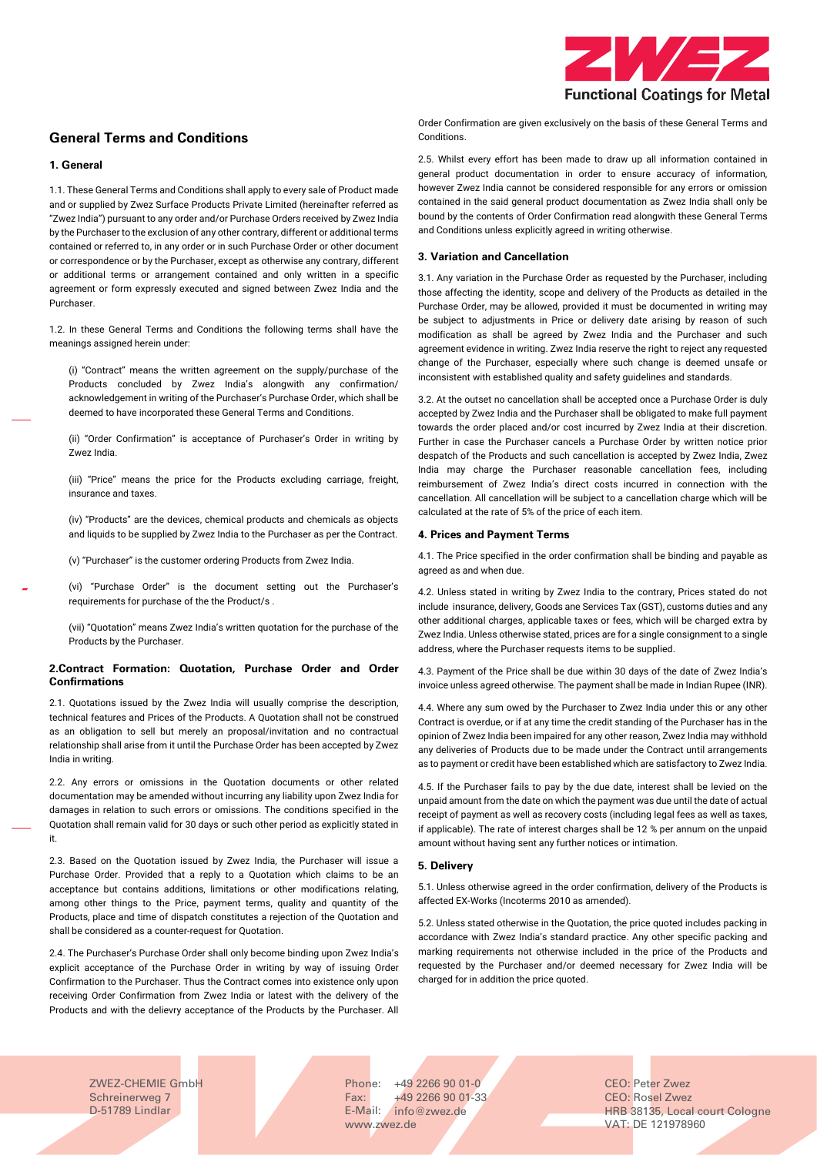

# **General Terms and Conditions**

#### **1. General**

1.1. These General Terms and Conditions shall apply to every sale of Product made and or supplied by Zwez Surface Products Private Limited (hereinafter referred as "Zwez India") pursuant to any order and/or Purchase Orders received by Zwez India by the Purchaser to the exclusion of any other contrary, different or additional terms contained or referred to, in any order or in such Purchase Order or other document or correspondence or by the Purchaser, except as otherwise any contrary, different or additional terms or arrangement contained and only written in a specific agreement or form expressly executed and signed between Zwez India and the Purchaser.

1.2. In these General Terms and Conditions the following terms shall have the meanings assigned herein under:

(i) "Contract" means the written agreement on the supply/purchase of the Products concluded by Zwez India's alongwith any confirmation/ acknowledgement in writing of the Purchaser's Purchase Order, which shall be deemed to have incorporated these General Terms and Conditions.

(ii) "Order Confirmation" is acceptance of Purchaser's Order in writing by Zwez India.

(iii) "Price" means the price for the Products excluding carriage, freight, insurance and taxes.

(iv) "Products" are the devices, chemical products and chemicals as objects and liquids to be supplied by Zwez India to the Purchaser as per the Contract.

(v) "Purchaser" is the customer ordering Products from Zwez India.

(vi) "Purchase Order" is the document setting out the Purchaser's requirements for purchase of the the Product/s .

(vii) "Quotation" means Zwez India's written quotation for the purchase of the Products by the Purchaser.

### **2.Contract Formation: Quotation, Purchase Order and Order Confirmations**

2.1. Quotations issued by the Zwez India will usually comprise the description, technical features and Prices of the Products. A Quotation shall not be construed as an obligation to sell but merely an proposal/invitation and no contractual relationship shall arise from it until the Purchase Order has been accepted by Zwez India in writing.

2.2. Any errors or omissions in the Quotation documents or other related documentation may be amended without incurring any liability upon Zwez India for damages in relation to such errors or omissions. The conditions specified in the Quotation shall remain valid for 30 days or such other period as explicitly stated in it.

2.3. Based on the Quotation issued by Zwez India, the Purchaser will issue a Purchase Order. Provided that a reply to a Quotation which claims to be an acceptance but contains additions, limitations or other modifications relating, among other things to the Price, payment terms, quality and quantity of the Products, place and time of dispatch constitutes a rejection of the Quotation and shall be considered as a counter-request for Quotation.

2.4. The Purchaser's Purchase Order shall only become binding upon Zwez India's explicit acceptance of the Purchase Order in writing by way of issuing Order Confirmation to the Purchaser. Thus the Contract comes into existence only upon receiving Order Confirmation from Zwez India or latest with the delivery of the Products and with the delievry acceptance of the Products by the Purchaser. All

Order Confirmation are given exclusively on the basis of these General Terms and **Conditions** 

2.5. Whilst every effort has been made to draw up all information contained in general product documentation in order to ensure accuracy of information, however Zwez India cannot be considered responsible for any errors or omission contained in the said general product documentation as Zwez India shall only be bound by the contents of Order Confirmation read alongwith these General Terms and Conditions unless explicitly agreed in writing otherwise.

# **3. Variation and Cancellation**

3.1. Any variation in the Purchase Order as requested by the Purchaser, including those affecting the identity, scope and delivery of the Products as detailed in the Purchase Order, may be allowed, provided it must be documented in writing may be subject to adjustments in Price or delivery date arising by reason of such modification as shall be agreed by Zwez India and the Purchaser and such agreement evidence in writing. Zwez India reserve the right to reject any requested change of the Purchaser, especially where such change is deemed unsafe or inconsistent with established quality and safety guidelines and standards.

3.2. At the outset no cancellation shall be accepted once a Purchase Order is duly accepted by Zwez India and the Purchaser shall be obligated to make full payment towards the order placed and/or cost incurred by Zwez India at their discretion. Further in case the Purchaser cancels a Purchase Order by written notice prior despatch of the Products and such cancellation is accepted by Zwez India, Zwez India may charge the Purchaser reasonable cancellation fees, including reimbursement of Zwez India's direct costs incurred in connection with the cancellation. All cancellation will be subject to a cancellation charge which will be calculated at the rate of 5% of the price of each item.

# **4. Prices and Payment Terms**

4.1. The Price specified in the order confirmation shall be binding and payable as agreed as and when due.

4.2. Unless stated in writing by Zwez India to the contrary, Prices stated do not include insurance, delivery, Goods ane Services Tax (GST), customs duties and any other additional charges, applicable taxes or fees, which will be charged extra by Zwez India. Unless otherwise stated, prices are for a single consignment to a single address, where the Purchaser requests items to be supplied.

4.3. Payment of the Price shall be due within 30 days of the date of Zwez India's invoice unless agreed otherwise. The payment shall be made in Indian Rupee (INR).

4.4. Where any sum owed by the Purchaser to Zwez India under this or any other Contract is overdue, or if at any time the credit standing of the Purchaser has in the opinion of Zwez India been impaired for any other reason, Zwez India may withhold any deliveries of Products due to be made under the Contract until arrangements as to payment or credit have been established which are satisfactory to Zwez India.

4.5. If the Purchaser fails to pay by the due date, interest shall be levied on the unpaid amount from the date on which the payment was due until the date of actual receipt of payment as well as recovery costs (including legal fees as well as taxes, if applicable). The rate of interest charges shall be 12 % per annum on the unpaid amount without having sent any further notices or intimation.

## **5. Delivery**

5.1. Unless otherwise agreed in the order confirmation, delivery of the Products is affected EX-Works (Incoterms 2010 as amended).

5.2. Unless stated otherwise in the Quotation, the price quoted includes packing in accordance with Zwez India's standard practice. Any other specific packing and marking requirements not otherwise included in the price of the Products and requested by the Purchaser and/or deemed necessary for Zwez India will be charged for in addition the price quoted.

ZWEZ-CHEMIE GmbH Schreinerweg 7 D-51789 Lindlar

Phone: +49 2266 90 01-0 Fax: E-Mail: [info@zwez.de](mailto:info@zwez.de) +49 2266 90 01-33 [www.zwez.de](http://www.zwez.de/) VAT: DE 121978960

CEO: Peter Zwez CEO: Rosel Zwez HRB 38135, Local court Cologne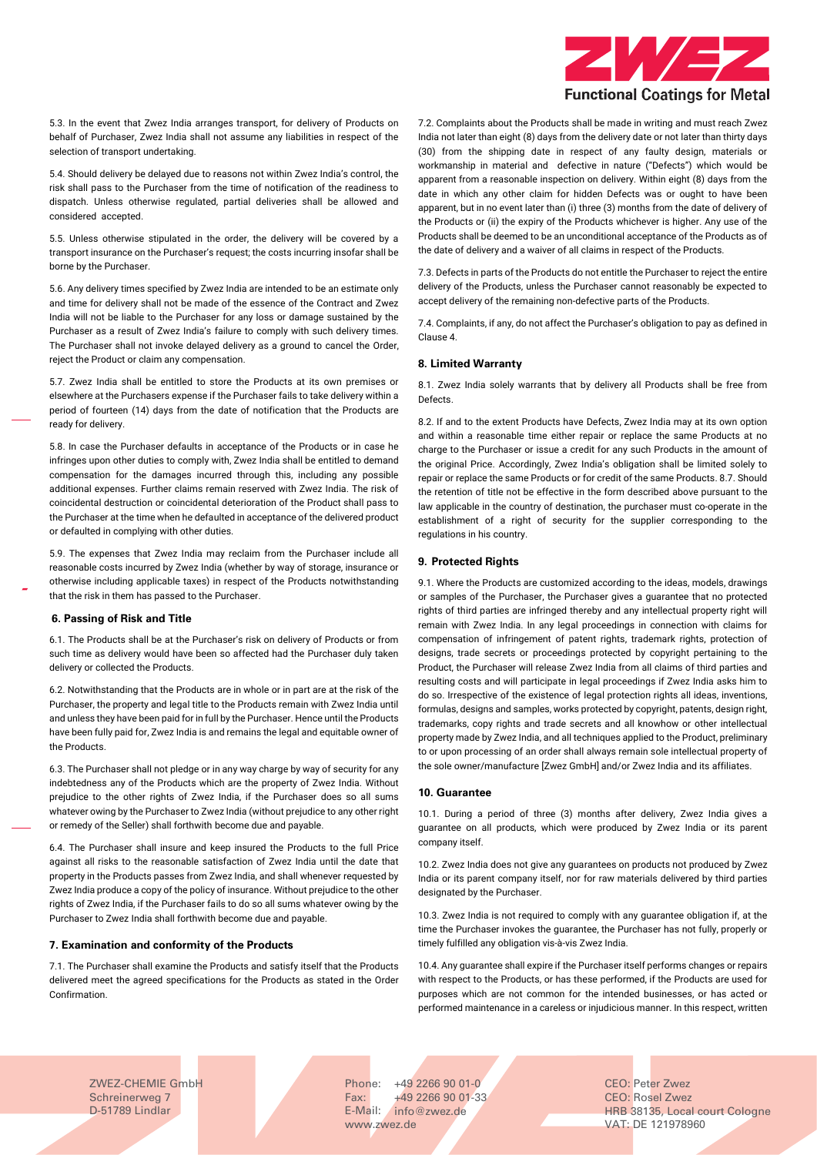

5.3. In the event that Zwez India arranges transport, for delivery of Products on behalf of Purchaser, Zwez India shall not assume any liabilities in respect of the selection of transport undertaking.

5.4. Should delivery be delayed due to reasons not within Zwez India's control, the risk shall pass to the Purchaser from the time of notification of the readiness to dispatch. Unless otherwise regulated, partial deliveries shall be allowed and considered accepted.

5.5. Unless otherwise stipulated in the order, the delivery will be covered by a transport insurance on the Purchaser's request; the costs incurring insofar shall be borne by the Purchaser.

5.6. Any delivery times specified by Zwez India are intended to be an estimate only and time for delivery shall not be made of the essence of the Contract and Zwez India will not be liable to the Purchaser for any loss or damage sustained by the Purchaser as a result of Zwez India's failure to comply with such delivery times. The Purchaser shall not invoke delayed delivery as a ground to cancel the Order, reject the Product or claim any compensation.

5.7. Zwez India shall be entitled to store the Products at its own premises or elsewhere at the Purchasers expense if the Purchaser fails to take delivery within a period of fourteen (14) days from the date of notification that the Products are ready for delivery.

5.8. In case the Purchaser defaults in acceptance of the Products or in case he infringes upon other duties to comply with, Zwez India shall be entitled to demand compensation for the damages incurred through this, including any possible additional expenses. Further claims remain reserved with Zwez India. The risk of coincidental destruction or coincidental deterioration of the Product shall pass to the Purchaser at the time when he defaulted in acceptance of the delivered product or defaulted in complying with other duties.

5.9. The expenses that Zwez India may reclaim from the Purchaser include all reasonable costs incurred by Zwez India (whether by way of storage, insurance or otherwise including applicable taxes) in respect of the Products notwithstanding that the risk in them has passed to the Purchaser.

#### **6. Passing of Risk and Title**

6.1. The Products shall be at the Purchaser's risk on delivery of Products or from such time as delivery would have been so affected had the Purchaser duly taken delivery or collected the Products.

6.2. Notwithstanding that the Products are in whole or in part are at the risk of the Purchaser, the property and legal title to the Products remain with Zwez India until and unless they have been paid for in full by the Purchaser. Hence until the Products have been fully paid for, Zwez India is and remains the legal and equitable owner of the Products.

6.3. The Purchaser shall not pledge or in any way charge by way of security for any indebtedness any of the Products which are the property of Zwez India. Without prejudice to the other rights of Zwez India, if the Purchaser does so all sums whatever owing by the Purchaser to Zwez India (without prejudice to any other right or remedy of the Seller) shall forthwith become due and payable.

6.4. The Purchaser shall insure and keep insured the Products to the full Price against all risks to the reasonable satisfaction of Zwez India until the date that property in the Products passes from Zwez India, and shall whenever requested by Zwez India produce a copy of the policy of insurance. Without prejudice to the other rights of Zwez India, if the Purchaser fails to do so all sums whatever owing by the Purchaser to Zwez India shall forthwith become due and payable.

#### **7. Examination and conformity of the Products**

7.1. The Purchaser shall examine the Products and satisfy itself that the Products delivered meet the agreed specifications for the Products as stated in the Order Confirmation.

7.2. Complaints about the Products shall be made in writing and must reach Zwez India not later than eight (8) days from the delivery date or not later than thirty days (30) from the shipping date in respect of any faulty design, materials or workmanship in material and defective in nature ("Defects") which would be apparent from a reasonable inspection on delivery. Within eight (8) days from the date in which any other claim for hidden Defects was or ought to have been apparent, but in no event later than (i) three (3) months from the date of delivery of the Products or (ii) the expiry of the Products whichever is higher. Any use of the Products shall be deemed to be an unconditional acceptance of the Products as of the date of delivery and a waiver of all claims in respect of the Products.

7.3. Defects in parts of the Products do not entitle the Purchaser to reject the entire delivery of the Products, unless the Purchaser cannot reasonably be expected to accept delivery of the remaining non-defective parts of the Products.

7.4. Complaints, if any, do not affect the Purchaser's obligation to pay as defined in Clause 4.

#### **8. Limited Warranty**

8.1. Zwez India solely warrants that by delivery all Products shall be free from Defects.

8.2. If and to the extent Products have Defects, Zwez India may at its own option and within a reasonable time either repair or replace the same Products at no charge to the Purchaser or issue a credit for any such Products in the amount of the original Price. Accordingly, Zwez India's obligation shall be limited solely to repair or replace the same Products or for credit of the same Products. 8.7. Should the retention of title not be effective in the form described above pursuant to the law applicable in the country of destination, the purchaser must co-operate in the establishment of a right of security for the supplier corresponding to the regulations in his country.

## **9. Protected Rights**

9.1. Where the Products are customized according to the ideas, models, drawings or samples of the Purchaser, the Purchaser gives a guarantee that no protected rights of third parties are infringed thereby and any intellectual property right will remain with Zwez India. In any legal proceedings in connection with claims for compensation of infringement of patent rights, trademark rights, protection of designs, trade secrets or proceedings protected by copyright pertaining to the Product, the Purchaser will release Zwez India from all claims of third parties and resulting costs and will participate in legal proceedings if Zwez India asks him to do so. Irrespective of the existence of legal protection rights all ideas, inventions, formulas, designs and samples, works protected by copyright, patents, design right, trademarks, copy rights and trade secrets and all knowhow or other intellectual property made by Zwez India, and all techniques applied to the Product, preliminary to or upon processing of an order shall always remain sole intellectual property of the sole owner/manufacture [Zwez GmbH] and/or Zwez India and its affiliates.

#### **10. Guarantee**

10.1. During a period of three (3) months after delivery, Zwez India gives a guarantee on all products, which were produced by Zwez India or its parent company itself.

10.2. Zwez India does not give any guarantees on products not produced by Zwez India or its parent company itself, nor for raw materials delivered by third parties designated by the Purchaser.

10.3. Zwez India is not required to comply with any guarantee obligation if, at the time the Purchaser invokes the guarantee, the Purchaser has not fully, properly or timely fulfilled any obligation vis-à-vis Zwez India.

10.4. Any guarantee shall expire if the Purchaser itself performs changes or repairs with respect to the Products, or has these performed, if the Products are used for purposes which are not common for the intended businesses, or has acted or performed maintenance in a careless or injudicious manner. In this respect, written

ZWEZ-CHEMIE GmbH Schreinerweg 7 D-51789 Lindlar

Phone: +49 2266 90 01-0 Fax: E-Mail: [info@zwez.de](mailto:info@zwez.de) +49 2266 90 01-33 [www.zwez.de](http://www.zwez.de/) VAT: DE 121978960

CEO: Peter Zwez CEO: Rosel Zwez HRB 38135, Local court Cologne